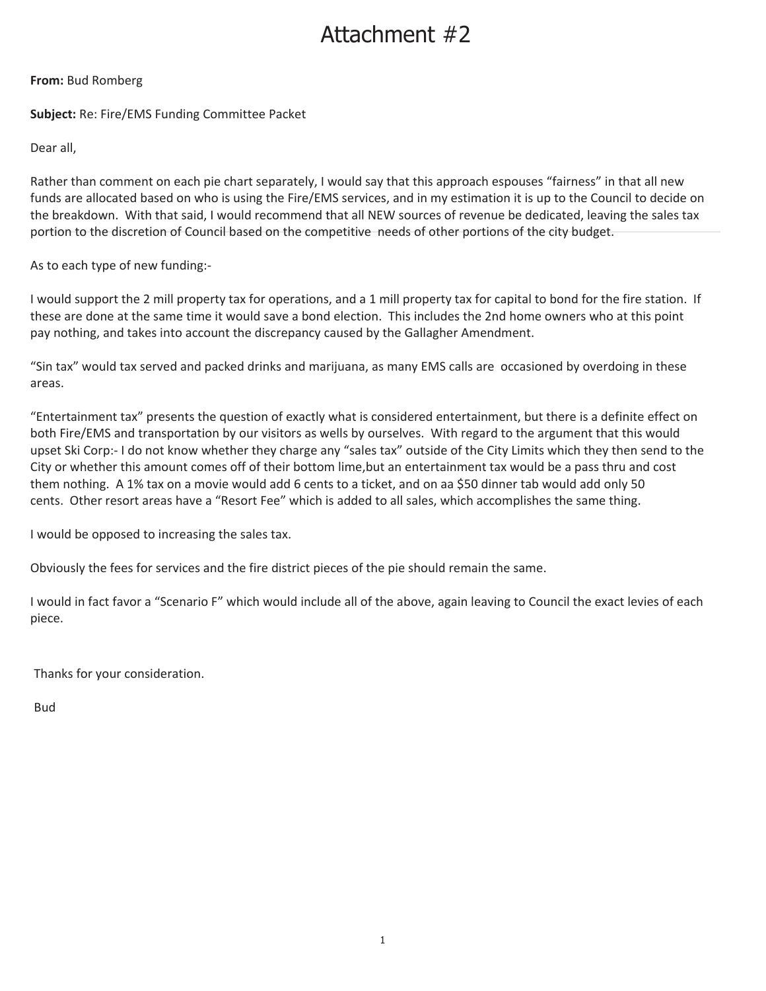# Attachment #2

# **From:** Bud Romberg

**Subject:** Re: Fire/EMS Funding Committee Packet

Dear all,

Rather than comment on each pie chart separately, I would say that this approach espouses "fairness" in that all new funds are allocated based on who is using the Fire/EMS services, and in my estimation it is up to the Council to decide on the breakdown. With that said, I would recommend that all NEW sources of revenue be dedicated, leaving the sales tax portion to the discretion of Council based on the competitive needs of other portions of the city budget.

# As to each type of new funding:-

I would support the 2 mill property tax for operations, and a 1 mill property tax for capital to bond for the fire station. If these are done at the same time it would save a bond election. This includes the 2nd home owners who at this point pay nothing, and takes into account the discrepancy caused by the Gallagher Amendment.

"Sin tax" would tax served and packed drinks and marijuana, as many EMS calls are occasioned by overdoing in these areas.

"Entertainment tax" presents the question of exactly what is considered entertainment, but there is a definite effect on both Fire/EMS and transportation by our visitors as wells by ourselves. With regard to the argument that this would upset Ski Corp:- I do not know whether they charge any "sales tax" outside of the City Limits which they then send to the City or whether this amount comes off of their bottom lime,but an entertainment tax would be a pass thru and cost them nothing. A 1% tax on a movie would add 6 cents to a ticket, and on aa \$50 dinner tab would add only 50 cents. Other resort areas have a "Resort Fee" which is added to all sales, which accomplishes the same thing.

I would be opposed to increasing the sales tax.

Obviously the fees for services and the fire district pieces of the pie should remain the same.

I would in fact favor a "Scenario F" which would include all of the above, again leaving to Council the exact levies of each piece.

Thanks for your consideration.

Bud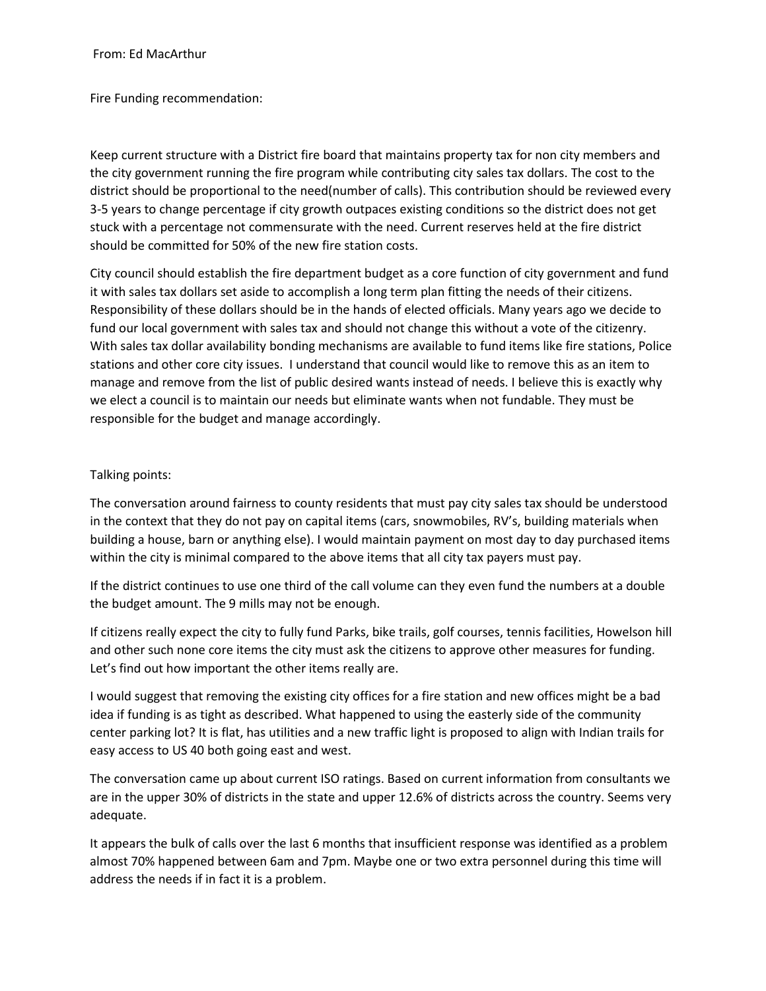From: Ed MacArthur

Fire Funding recommendation:

Keep current structure with a District fire board that maintains property tax for non city members and the city government running the fire program while contributing city sales tax dollars. The cost to the district should be proportional to the need(number of calls). This contribution should be reviewed every 3-5 years to change percentage if city growth outpaces existing conditions so the district does not get stuck with a percentage not commensurate with the need. Current reserves held at the fire district should be committed for 50% of the new fire station costs.

City council should establish the fire department budget as a core function of city government and fund it with sales tax dollars set aside to accomplish a long term plan fitting the needs of their citizens. Responsibility of these dollars should be in the hands of elected officials. Many years ago we decide to fund our local government with sales tax and should not change this without a vote of the citizenry. With sales tax dollar availability bonding mechanisms are available to fund items like fire stations, Police stations and other core city issues. I understand that council would like to remove this as an item to manage and remove from the list of public desired wants instead of needs. I believe this is exactly why we elect a council is to maintain our needs but eliminate wants when not fundable. They must be responsible for the budget and manage accordingly.

# Talking points:

The conversation around fairness to county residents that must pay city sales tax should be understood in the context that they do not pay on capital items (cars, snowmobiles, RV's, building materials when building a house, barn or anything else). I would maintain payment on most day to day purchased items within the city is minimal compared to the above items that all city tax payers must pay.

If the district continues to use one third of the call volume can they even fund the numbers at a double the budget amount. The 9 mills may not be enough.

If citizens really expect the city to fully fund Parks, bike trails, golf courses, tennis facilities, Howelson hill and other such none core items the city must ask the citizens to approve other measures for funding. Let's find out how important the other items really are.

I would suggest that removing the existing city offices for a fire station and new offices might be a bad idea if funding is as tight as described. What happened to using the easterly side of the community center parking lot? It is flat, has utilities and a new traffic light is proposed to align with Indian trails for easy access to US 40 both going east and west.

The conversation came up about current ISO ratings. Based on current information from consultants we are in the upper 30% of districts in the state and upper 12.6% of districts across the country. Seems very adequate.

It appears the bulk of calls over the last 6 months that insufficient response was identified as a problem almost 70% happened between 6am and 7pm. Maybe one or two extra personnel during this time will address the needs if in fact it is a problem.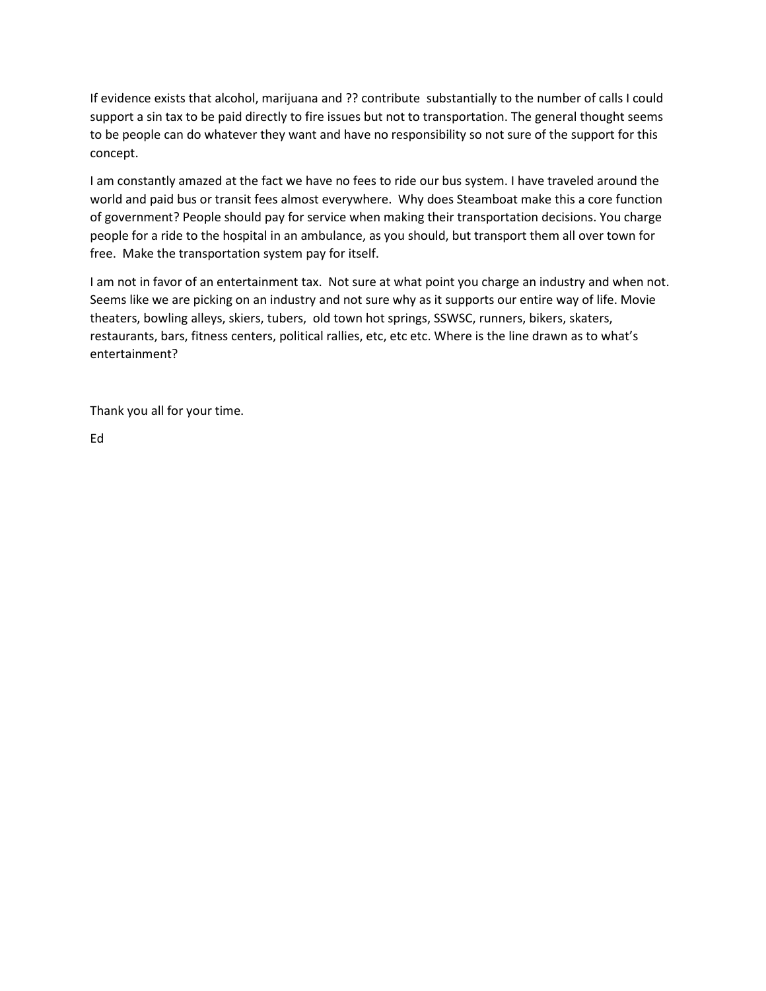If evidence exists that alcohol, marijuana and ?? contribute substantially to the number of calls I could support a sin tax to be paid directly to fire issues but not to transportation. The general thought seems to be people can do whatever they want and have no responsibility so not sure of the support for this concept.

I am constantly amazed at the fact we have no fees to ride our bus system. I have traveled around the world and paid bus or transit fees almost everywhere. Why does Steamboat make this a core function of government? People should pay for service when making their transportation decisions. You charge people for a ride to the hospital in an ambulance, as you should, but transport them all over town for free. Make the transportation system pay for itself.

I am not in favor of an entertainment tax. Not sure at what point you charge an industry and when not. Seems like we are picking on an industry and not sure why as it supports our entire way of life. Movie theaters, bowling alleys, skiers, tubers, old town hot springs, SSWSC, runners, bikers, skaters, restaurants, bars, fitness centers, political rallies, etc, etc etc. Where is the line drawn as to what's entertainment?

Thank you all for your time.

Ed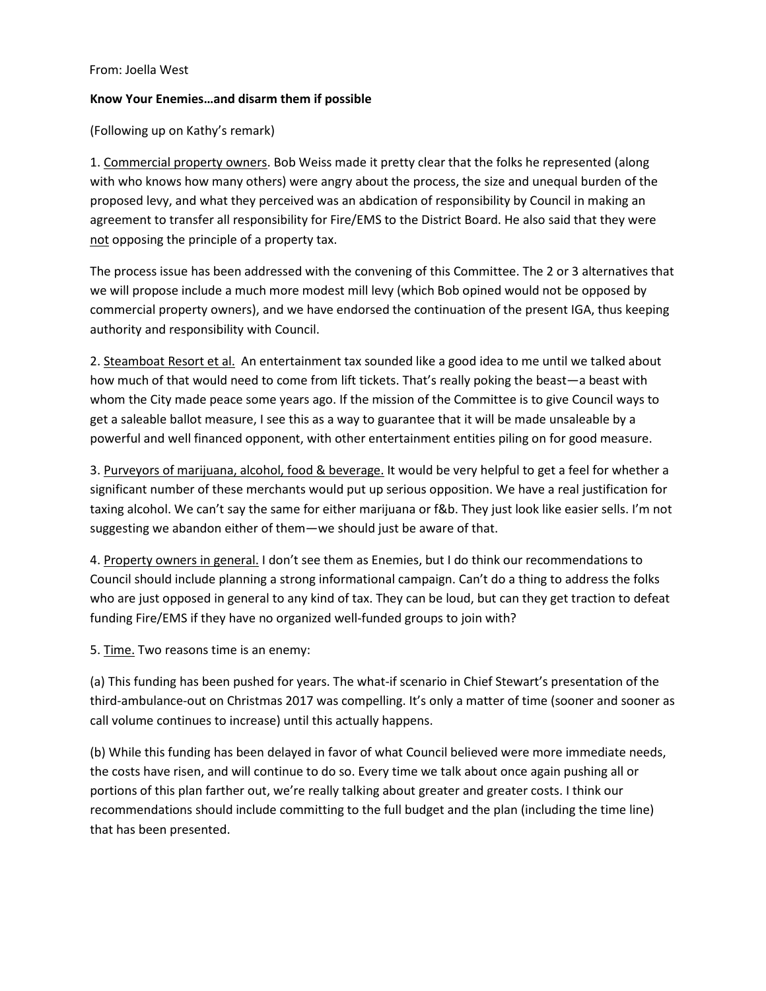# From: Joella West

## **Know Your Enemies…and disarm them if possible**

(Following up on Kathy's remark)

1. Commercial property owners. Bob Weiss made it pretty clear that the folks he represented (along with who knows how many others) were angry about the process, the size and unequal burden of the proposed levy, and what they perceived was an abdication of responsibility by Council in making an agreement to transfer all responsibility for Fire/EMS to the District Board. He also said that they were not opposing the principle of a property tax.

The process issue has been addressed with the convening of this Committee. The 2 or 3 alternatives that we will propose include a much more modest mill levy (which Bob opined would not be opposed by commercial property owners), and we have endorsed the continuation of the present IGA, thus keeping authority and responsibility with Council.

2. Steamboat Resort et al. An entertainment tax sounded like a good idea to me until we talked about how much of that would need to come from lift tickets. That's really poking the beast—a beast with whom the City made peace some years ago. If the mission of the Committee is to give Council ways to get a saleable ballot measure, I see this as a way to guarantee that it will be made unsaleable by a powerful and well financed opponent, with other entertainment entities piling on for good measure.

3. Purveyors of marijuana, alcohol, food & beverage. It would be very helpful to get a feel for whether a significant number of these merchants would put up serious opposition. We have a real justification for taxing alcohol. We can't say the same for either marijuana or f&b. They just look like easier sells. I'm not suggesting we abandon either of them—we should just be aware of that.

4. Property owners in general. I don't see them as Enemies, but I do think our recommendations to Council should include planning a strong informational campaign. Can't do a thing to address the folks who are just opposed in general to any kind of tax. They can be loud, but can they get traction to defeat funding Fire/EMS if they have no organized well-funded groups to join with?

5. Time. Two reasons time is an enemy:

(a) This funding has been pushed for years. The what-if scenario in Chief Stewart's presentation of the third-ambulance-out on Christmas 2017 was compelling. It's only a matter of time (sooner and sooner as call volume continues to increase) until this actually happens.

(b) While this funding has been delayed in favor of what Council believed were more immediate needs, the costs have risen, and will continue to do so. Every time we talk about once again pushing all or portions of this plan farther out, we're really talking about greater and greater costs. I think our recommendations should include committing to the full budget and the plan (including the time line) that has been presented.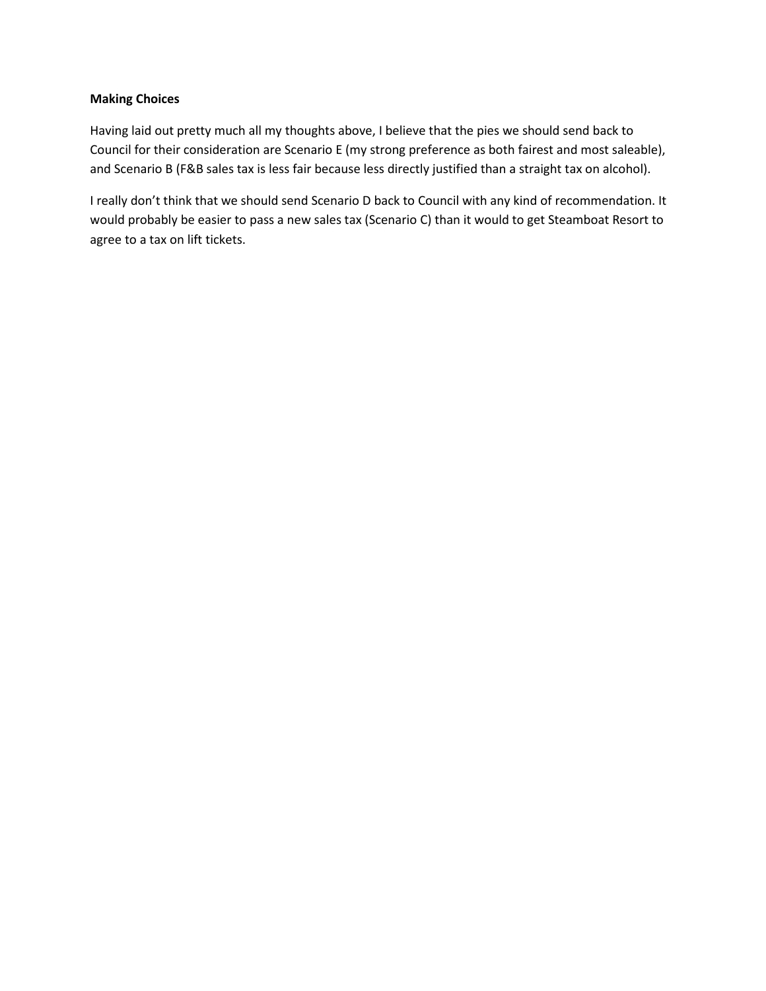# **Making Choices**

Having laid out pretty much all my thoughts above, I believe that the pies we should send back to Council for their consideration are Scenario E (my strong preference as both fairest and most saleable), and Scenario B (F&B sales tax is less fair because less directly justified than a straight tax on alcohol).

I really don't think that we should send Scenario D back to Council with any kind of recommendation. It would probably be easier to pass a new sales tax (Scenario C) than it would to get Steamboat Resort to agree to a tax on lift tickets.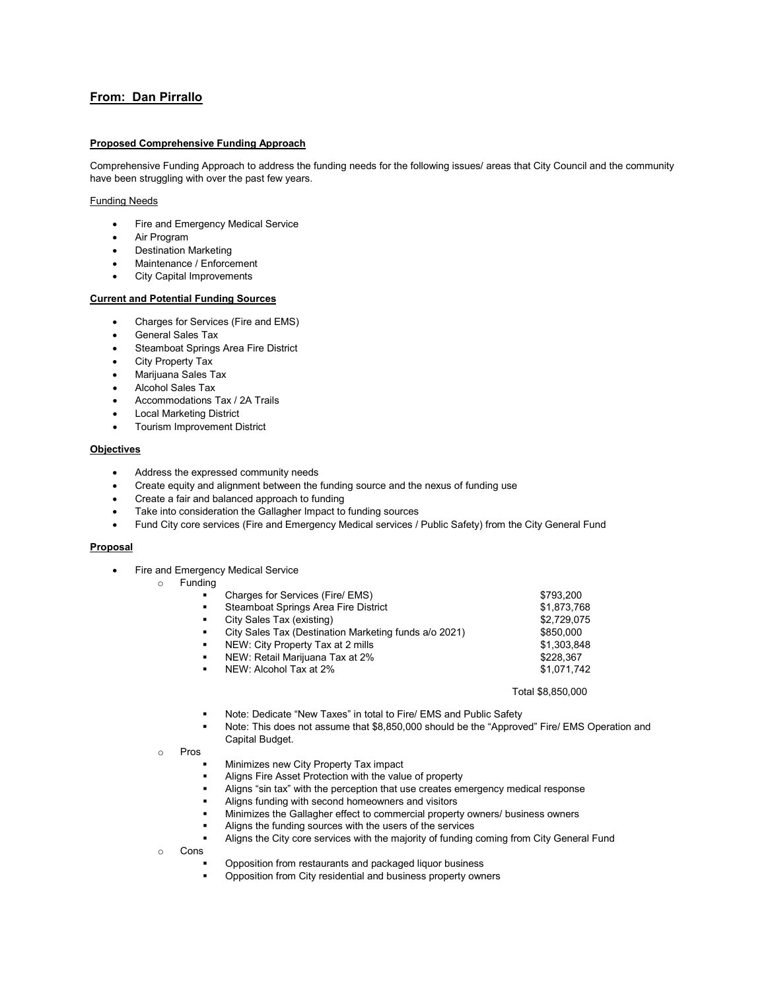# **From: Dan Pirrallo**

## **Proposed Comprehensive Funding Approach**

Comprehensive Funding Approach to address the funding needs for the following issues/ areas that City Council and the community have been struggling with over the past few years.

#### Funding Needs

- Fire and Emergency Medical Service
- Air Program
- Destination Marketing
- Maintenance / Enforcement
- City Capital Improvements

## **Current and Potential Funding Sources**

- Charges for Services (Fire and EMS)
- General Sales Tax
- Steamboat Springs Area Fire District
- City Property Tax
- Marijuana Sales Tax
- Alcohol Sales Tax
- Accommodations Tax / 2A Trails
- **Local Marketing District**
- Tourism Improvement District

#### **Objectives**

- Address the expressed community needs
- Create equity and alignment between the funding source and the nexus of funding use
- Create a fair and balanced approach to funding
- Take into consideration the Gallagher Impact to funding sources
- Fund City core services (Fire and Emergency Medical services / Public Safety) from the City General Fund

## **Proposal**

• Fire and Emergency Medical Service

## o Funding

| $\blacksquare$ | Charges for Services (Fire/ EMS)                      | \$793,200         |
|----------------|-------------------------------------------------------|-------------------|
| $\blacksquare$ | Steamboat Springs Area Fire District                  | \$1,873,768       |
| $\blacksquare$ | City Sales Tax (existing)                             | \$2,729,075       |
| $\blacksquare$ | City Sales Tax (Destination Marketing funds a/o 2021) | \$850,000         |
| $\blacksquare$ | NEW: City Property Tax at 2 mills                     | \$1.303.848       |
| $\blacksquare$ | NEW: Retail Marijuana Tax at 2%                       | \$228.367         |
| $\blacksquare$ | NEW: Alcohol Tax at 2%                                | \$1.071.742       |
|                |                                                       | Total \$8.850,000 |

- Note: Dedicate "New Taxes" in total to Fire/ EMS and Public Safety
- Note: This does not assume that \$8,850,000 should be the "Approved" Fire/ EMS Operation and Capital Budget.
- o Pros
	- Minimizes new City Property Tax impact
	- Aligns Fire Asset Protection with the value of property
	- Aligns "sin tax" with the perception that use creates emergency medical response
	- Aligns funding with second homeowners and visitors
	- Minimizes the Gallagher effect to commercial property owners/ business owners
	- Aligns the funding sources with the users of the services
	- Aligns the City core services with the majority of funding coming from City General Fund
- o Cons
	- Opposition from restaurants and packaged liquor business
	- Opposition from City residential and business property owners